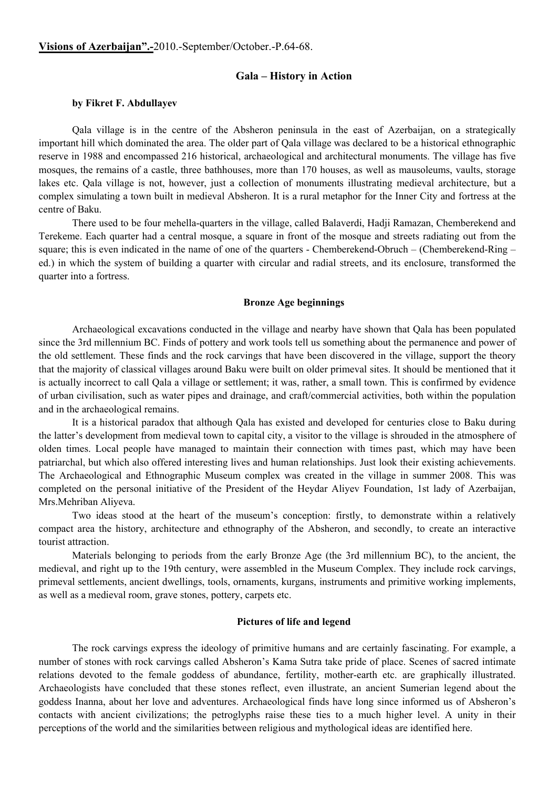# **Visions of Azerbaijan".-**2010.-September/October.-P.64-68.

# **Gala – History in Action**

## **by Fikret F. Abdullayev**

Qala village is in the centre of the Absheron peninsula in the east of Azerbaijan, on a strategically important hill which dominated the area. The older part of Qala village was declared to be a historical ethnographic reserve in 1988 and encompassed 216 historical, archaeological and architectural monuments. The village has five mosques, the remains of a castle, three bathhouses, more than 170 houses, as well as mausoleums, vaults, storage lakes etc. Qala village is not, however, just a collection of monuments illustrating medieval architecture, but a complex simulating a town built in medieval Absheron. It is a rural metaphor for the Inner City and fortress at the centre of Baku.

There used to be four mehella-quarters in the village, called Balaverdi, Hadji Ramazan, Chemberekend and Terekeme. Each quarter had a central mosque, a square in front of the mosque and streets radiating out from the square; this is even indicated in the name of one of the quarters - Chemberekend-Obruch – (Chemberekend-Ring – ed.) in which the system of building a quarter with circular and radial streets, and its enclosure, transformed the quarter into a fortress.

### **Bronze Age beginnings**

Archaeological excavations conducted in the village and nearby have shown that Qala has been populated since the 3rd millennium BC. Finds of pottery and work tools tell us something about the permanence and power of the old settlement. These finds and the rock carvings that have been discovered in the village, support the theory that the majority of classical villages around Baku were built on older primeval sites. It should be mentioned that it is actually incorrect to call Qala a village or settlement; it was, rather, a small town. This is confirmed by evidence of urban civilisation, such as water pipes and drainage, and craft/commercial activities, both within the population and in the archaeological remains.

It is a historical paradox that although Qala has existed and developed for centuries close to Baku during the latter's development from medieval town to capital city, a visitor to the village is shrouded in the atmosphere of olden times. Local people have managed to maintain their connection with times past, which may have been patriarchal, but which also offered interesting lives and human relationships. Just look their existing achievements. The Archaeological and Ethnographic Museum complex was created in the village in summer 2008. This was completed on the personal initiative of the President of the Heydar Aliyev Foundation, 1st lady of Azerbaijan, Mrs.Mehriban Aliyeva.

Two ideas stood at the heart of the museum's conception: firstly, to demonstrate within a relatively compact area the history, architecture and ethnography of the Absheron, and secondly, to create an interactive tourist attraction.

Materials belonging to periods from the early Bronze Age (the 3rd millennium BC), to the ancient, the medieval, and right up to the 19th century, were assembled in the Museum Complex. They include rock carvings, primeval settlements, ancient dwellings, tools, ornaments, kurgans, instruments and primitive working implements, as well as a medieval room, grave stones, pottery, carpets etc.

# **Pictures of life and legend**

The rock carvings express the ideology of primitive humans and are certainly fascinating. For example, a number of stones with rock carvings called Absheron's Kama Sutra take pride of place. Scenes of sacred intimate relations devoted to the female goddess of abundance, fertility, mother-earth etc. are graphically illustrated. Archaeologists have concluded that these stones reflect, even illustrate, an ancient Sumerian legend about the goddess Inanna, about her love and adventures. Archaeological finds have long since informed us of Absheron's contacts with ancient civilizations; the petroglyphs raise these ties to a much higher level. A unity in their perceptions of the world and the similarities between religious and mythological ideas are identified here.